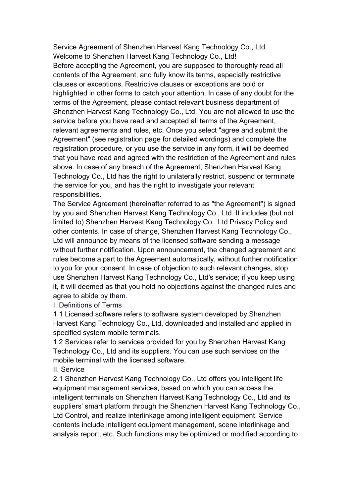Service Agreement of Shenzhen Harvest Kang Technology Co., Ltd Welcome to Shenzhen Harvest Kang Technology Co., Ltd! Before accepting the Agreement, you are supposed to thoroughly read all contents of the Agreement, and fully know its terms, especially restrictive clauses or exceptions. Restrictive clauses or exceptions are bold or highlighted in other forms to catch your attention. In case of any doubt for the terms of the Agreement, please contact relevant business department of Shenzhen Harvest Kang Technology Co., Ltd. You are not allowed to use the service before you have read and accepted all terms of the Agreement, relevant agreements and rules, etc. Once you select "agree and submit the Agreement" (see registration page for detailed wordings) and complete the registration procedure, or you use the service in any form, it will be deemed that you have read and agreed with the restriction of the Agreement and rules above. In case of any breach of the Agreement, Shenzhen Harvest Kang Technology Co., Ltd has the right to unilaterally restrict, suspend or terminate the service for you, and has the right to investigate your relevant responsibilities.

The Service Agreement (hereinafter referred to as "the Agreement") is signed by you and Shenzhen Harvest Kang Technology Co., Ltd. It includes (but not limited to) Shenzhen Harvest Kang Technology Co., Ltd Privacy Policy and other contents. In case of change, Shenzhen Harvest Kang Technology Co., Ltd will announce by means of the licensed software sending a message without further notification. Upon announcement, the changed agreement and rules become a part to the Agreement automatically, without further notification to you for your consent. In case of objection to such relevant changes, stop use Shenzhen Harvest Kang Technology Co., Ltd's service; if you keep using it, it will deemed as that you hold no objections against the changed rules and agree to abide by them.

I. Definitions of Terms

1.1 Licensed software refers to software system developed by Shenzhen Harvest Kang Technology Co., Ltd, downloaded and installed and applied in specified system mobile terminals.

1.2 Services refer to services provided for you by Shenzhen Harvest Kang Technology Co., Ltd and its suppliers. You can use such services on the mobile terminal with the licensed software.

II. Service

2.1 Shenzhen Harvest Kang Technology Co., Ltd offers you intelligent life equipment management services, based on which you can access the intelligent terminals on Shenzhen Harvest Kang Technology Co., Ltd and its suppliers' smart platform through the Shenzhen Harvest Kang Technology Co., Ltd Control, and realize interlinkage among intelligent equipment. Service contents include intelligent equipment management, scene interlinkage and analysis report, etc. Such functions may be optimized or modified according to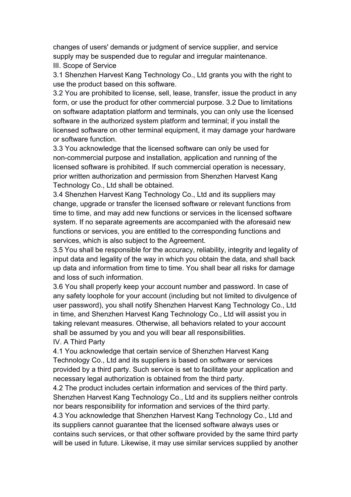changes of users' demands or judgment of service supplier, and service supply may be suspended due to regular and irregular maintenance.

III. Scope of Service

3.1 Shenzhen Harvest Kang Technology Co., Ltd grants you with the right to use the product based on this software.

3.2 You are prohibited to license, sell, lease, transfer, issue the product in any form, or use the product for other commercial purpose. 3.2 Due to limitations on software adaptation platform and terminals, you can only use the licensed software in the authorized system platform and terminal; if you install the licensed software on other terminal equipment, it may damage your hardware or software function.

3.3 You acknowledge that the licensed software can only be used for non-commercial purpose and installation, application and running of the licensed software is prohibited. If such commercial operation is necessary, prior written authorization and permission from Shenzhen Harvest Kang Technology Co., Ltd shall be obtained.

3.4 Shenzhen Harvest Kang Technology Co., Ltd and its suppliers may change, upgrade or transfer the licensed software or relevant functions from time to time, and may add new functions or services in the licensed software system. If no separate agreements are accompanied with the aforesaid new functions or services, you are entitled to the corresponding functions and services, which is also subject to the Agreement.

3.5 You shall be responsible for the accuracy, reliability, integrity and legality of input data and legality of the way in which you obtain the data, and shall back up data and information from time to time. You shall bear all risks for damage and loss of such information.

3.6 You shall properly keep your account number and password. In case of any safety loophole for your account (including but not limited to divulgence of user password), you shall notify Shenzhen Harvest Kang Technology Co., Ltd in time, and Shenzhen Harvest Kang Technology Co., Ltd will assist you in taking relevant measures. Otherwise, all behaviors related to your account shall be assumed by you and you will bear all responsibilities.

## IV. A Third Party

4.1 You acknowledge that certain service of Shenzhen Harvest Kang Technology Co., Ltd and its suppliers is based on software or services provided by a third party. Such service is set to facilitate your application and necessary legal authorization is obtained from the third party.

4.2 The product includes certain information and services of the third party. Shenzhen Harvest Kang Technology Co., Ltd and its suppliers neither controls nor bears responsibility for information and services of the third party.

4.3 You acknowledge that Shenzhen Harvest Kang Technology Co., Ltd and its suppliers cannot guarantee that the licensed software always uses or contains such services, or that other software provided by the same third party will be used in future. Likewise, it may use similar services supplied by another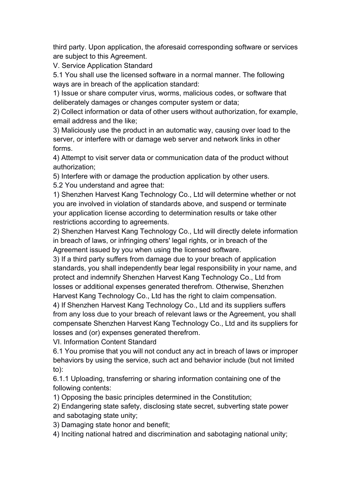third party. Upon application, the aforesaid corresponding software or services are subject to this Agreement.

V. Service Application Standard

5.1 You shall use the licensed software in a normal manner. The following ways are in breach of the application standard:

1) Issue or share computer virus, worms, malicious codes, or software that deliberately damages or changes computer system or data;

2) Collect information or data of other users without authorization, for example, email address and the like;

3) Maliciously use the product in an automatic way, causing over load to the server, or interfere with or damage web server and network links in other forms.

4) Attempt to visit server data or communication data of the product without authorization;

5) Interfere with or damage the production application by other users. 5.2 You understand and agree that:

1) Shenzhen Harvest Kang Technology Co., Ltd will determine whether or not you are involved in violation of standards above, and suspend or terminate your application license according to determination results or take other restrictions according to agreements.

2) Shenzhen Harvest Kang Technology Co., Ltd will directly delete information in breach of laws, or infringing others' legal rights, or in breach of the Agreement issued by you when using the licensed software.

3) If a third party suffers from damage due to your breach of application standards, you shall independently bear legal responsibility in your name, and protect and indemnify Shenzhen Harvest Kang Technology Co., Ltd from losses or additional expenses generated therefrom. Otherwise, Shenzhen Harvest Kang Technology Co., Ltd has the right to claim compensation.

4) If Shenzhen Harvest Kang Technology Co., Ltd and its suppliers suffers from any loss due to your breach of relevant laws or the Agreement, you shall compensate Shenzhen Harvest Kang Technology Co., Ltd and its suppliers for losses and (or) expenses generated therefrom.

VI. Information Content Standard

6.1 You promise that you will not conduct any act in breach of laws or improper behaviors by using the service, such act and behavior include (but not limited to):

6.1.1 Uploading, transferring or sharing information containing one of the following contents:

1) Opposing the basic principles determined in the Constitution;

2) Endangering state safety, disclosing state secret, subverting state power and sabotaging state unity;

3) Damaging state honor and benefit;

4) Inciting national hatred and discrimination and sabotaging national unity;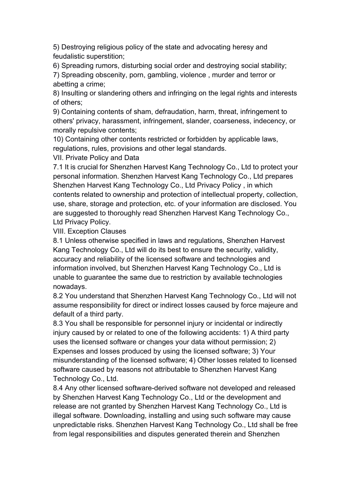5) Destroying religious policy of the state and advocating heresy and feudalistic superstition;

6) Spreading rumors, disturbing social order and destroying social stability;

7) Spreading obscenity, porn, gambling, violence , murder and terror or abetting a crime;

8) Insulting or slandering others and infringing on the legal rights and interests of others;

9) Containing contents of sham, defraudation, harm, threat, infringement to others' privacy, harassment, infringement, slander, coarseness, indecency, or morally repulsive contents;

10) Containing other contents restricted or forbidden by applicable laws, regulations, rules, provisions and other legal standards.

VII. Private Policy and Data

7.1 It is crucial for Shenzhen Harvest Kang Technology Co., Ltd to protect your personal information. Shenzhen Harvest Kang Technology Co., Ltd prepares Shenzhen Harvest Kang Technology Co., Ltd Privacy Policy , in which contents related to ownership and protection of intellectual property, collection, use, share, storage and protection, etc. of your information are disclosed. You are suggested to thoroughly read Shenzhen Harvest Kang Technology Co., Ltd Privacy Policy.

VIII. Exception Clauses

8.1 Unless otherwise specified in laws and regulations, Shenzhen Harvest Kang Technology Co., Ltd will do its best to ensure the security, validity, accuracy and reliability of the licensed software and technologies and information involved, but Shenzhen Harvest Kang Technology Co., Ltd is unable to guarantee the same due to restriction by available technologies nowadays.

8.2 You understand that Shenzhen Harvest Kang Technology Co., Ltd will not assume responsibility for direct or indirect losses caused by force majeure and default of a third party.

8.3 You shall be responsible for personnel injury or incidental or indirectly injury caused by or related to one of the following accidents: 1) A third party uses the licensed software or changes your data without permission; 2) Expenses and losses produced by using the licensed software; 3) Your misunderstanding of the licensed software; 4) Other losses related to licensed software caused by reasons not attributable to Shenzhen Harvest Kang Technology Co., Ltd.

8.4 Any other licensed software-derived software not developed and released by Shenzhen Harvest Kang Technology Co., Ltd or the development and release are not granted by Shenzhen Harvest Kang Technology Co., Ltd is illegal software. Downloading, installing and using such software may cause unpredictable risks. Shenzhen Harvest Kang Technology Co., Ltd shall be free from legal responsibilities and disputes generated therein and Shenzhen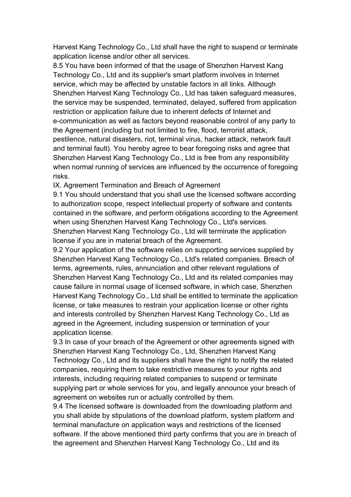Harvest Kang Technology Co., Ltd shall have the right to suspend or terminate application license and/or other all services.

8.5 You have been informed of that the usage of Shenzhen Harvest Kang Technology Co., Ltd and its supplier's smart platform involves in Internet service, which may be affected by unstable factors in all links. Although Shenzhen Harvest Kang Technology Co., Ltd has taken safeguard measures, the service may be suspended, terminated, delayed, suffered from application restriction or application failure due to inherent defects of Internet and e-communication as well as factors beyond reasonable control of any party to the Agreement (including but not limited to fire, flood, terrorist attack, pestilence, natural disasters, riot, terminal virus, hacker attack, network fault and terminal fault). You hereby agree to bear foregoing risks and agree that Shenzhen Harvest Kang Technology Co., Ltd is free from any responsibility when normal running of services are influenced by the occurrence of foregoing risks.

IX. Agreement Termination and Breach of Agreement

9.1 You should understand that you shall use the licensed software according to authorization scope, respect intellectual property of software and contents contained in the software, and perform obligations according to the Agreement when using Shenzhen Harvest Kang Technology Co., Ltd's services.<br>Shenzhen Harvest Kang Technology Co., Ltd will terminate the application license if you are in material breach of the Agreement.

9.2 Your application of the software relies on supporting services supplied by Shenzhen Harvest Kang Technology Co., Ltd's related companies. Breach of terms, agreements, rules, annunciation and other relevant regulations of Shenzhen Harvest Kang Technology Co., Ltd and its related companies may cause failure in normal usage of licensed software, in which case, Shenzhen Harvest Kang Technology Co., Ltd shall be entitled to terminate the application license, or take measures to restrain your application license or other rights and interests controlled by Shenzhen Harvest Kang Technology Co., Ltd as agreed in the Agreement, including suspension or termination of your application license.

9.3 In case of your breach of the Agreement or other agreements signed with Shenzhen Harvest Kang Technology Co., Ltd, Shenzhen Harvest Kang Technology Co., Ltd and its suppliers shall have the right to notify the related companies, requiring them to take restrictive measures to your rights and interests, including requiring related companies to suspend or terminate supplying part or whole services for you, and legally announce your breach of agreement on websites run or actually controlled by them.

9.4 The licensed software is downloaded from the downloading platform and you shall abide by stipulations of the download platform, system platform and terminal manufacture on application ways and restrictions of the licensed software. If the above mentioned third party confirms that you are in breach of the agreement and Shenzhen Harvest Kang Technology Co., Ltd and its